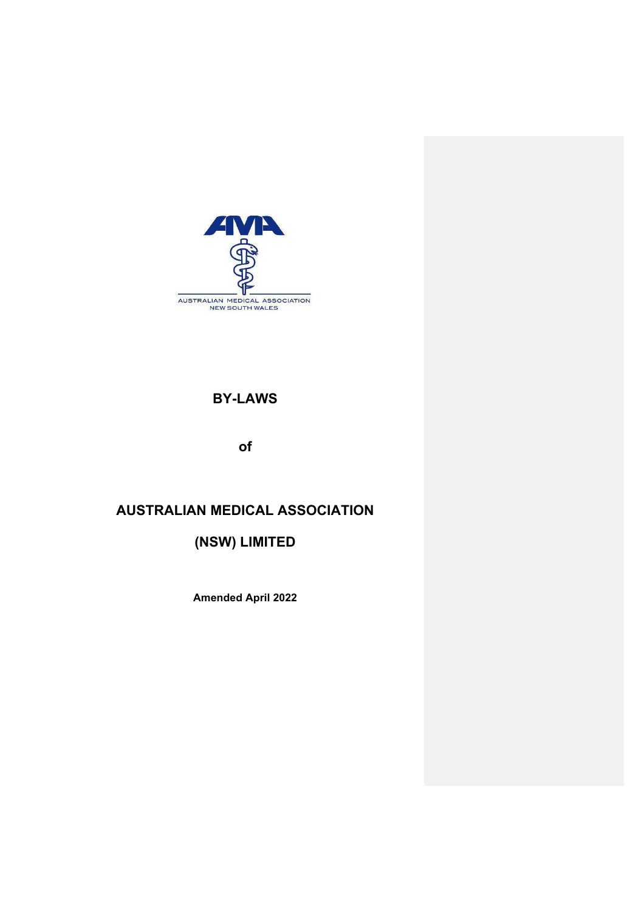

# **BY-LAWS**

**of**

# **AUSTRALIAN MEDICAL ASSOCIATION**

**(NSW) LIMITED** 

**Amended April 2022**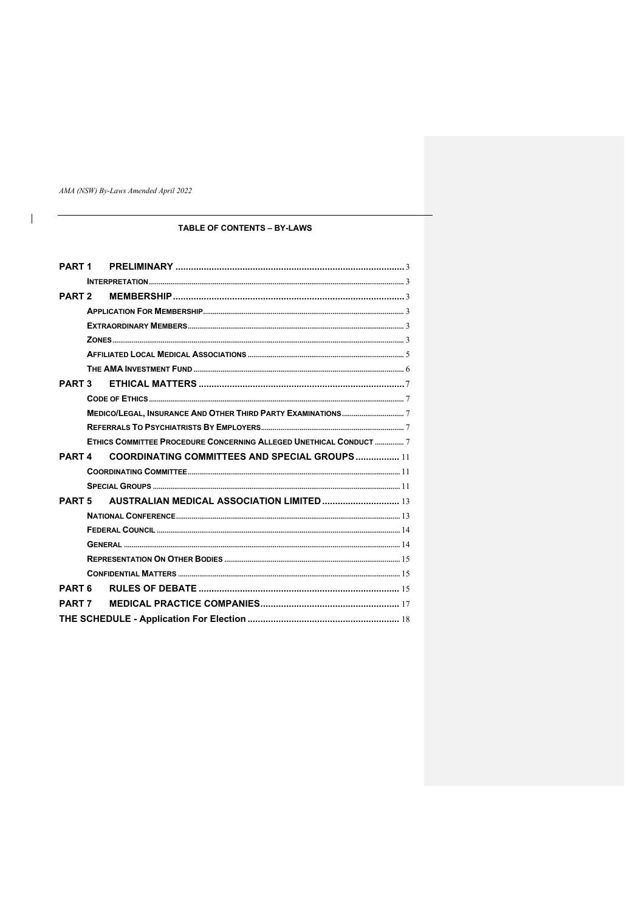AMA (NSW) By-Laws Amended April 2022

 $\begin{array}{c} \hline \end{array}$ 

# TABLE OF CONTENTS - BY-LAWS

| PART <sub>1</sub> |                                                                   |  |
|-------------------|-------------------------------------------------------------------|--|
|                   |                                                                   |  |
| PART <sub>2</sub> |                                                                   |  |
|                   |                                                                   |  |
|                   |                                                                   |  |
|                   |                                                                   |  |
|                   |                                                                   |  |
|                   |                                                                   |  |
| <b>PART 3</b>     |                                                                   |  |
|                   |                                                                   |  |
|                   |                                                                   |  |
|                   |                                                                   |  |
|                   | ETHICS COMMITTEE PROCEDURE CONCERNING ALLEGED UNETHICAL CONDUCT 7 |  |
| <b>PART4</b>      | <b>COORDINATING COMMITTEES AND SPECIAL GROUPS  11</b>             |  |
|                   |                                                                   |  |
|                   |                                                                   |  |
| <b>PART 5</b>     | <b>AUSTRALIAN MEDICAL ASSOCIATION LIMITED </b> 13                 |  |
|                   |                                                                   |  |
|                   |                                                                   |  |
|                   |                                                                   |  |
|                   |                                                                   |  |
|                   |                                                                   |  |
| PART <sub>6</sub> |                                                                   |  |
| <b>PART 7</b>     |                                                                   |  |
|                   |                                                                   |  |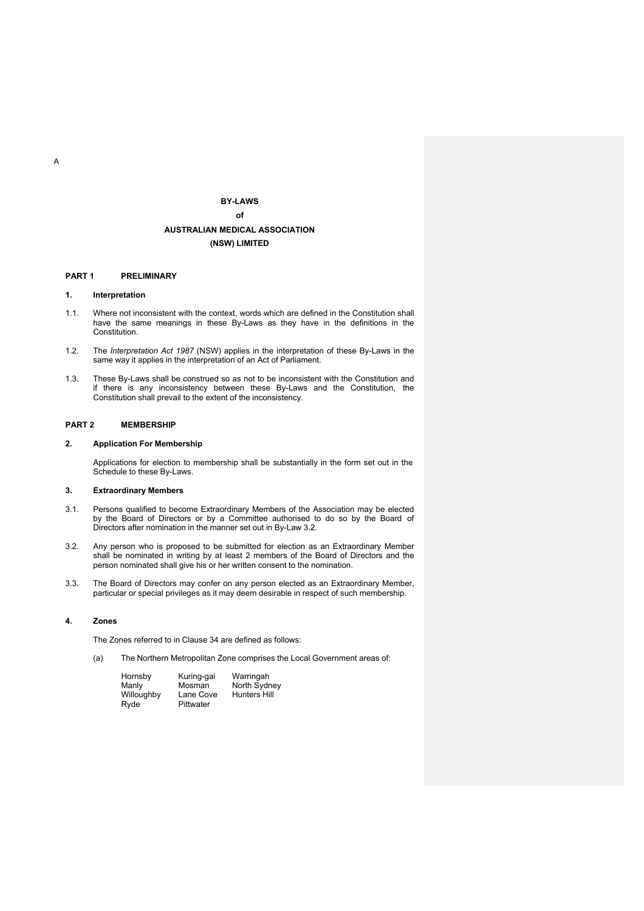# **BY-LAWS of AUSTRALIAN MEDICAL ASSOCIATION (NSW) LIMITED**

### **PART 1 PRELIMINARY**

## **1. Interpretation**

- 1.1. Where not inconsistent with the context, words which are defined in the Constitution shall have the same meanings in these By-Laws as they have in the definitions in the **Constitution**
- 1.2. The *Interpretation Act 1987* (NSW) applies in the interpretation of these By-Laws in the same way it applies in the interpretation of an Act of Parliament.
- 1.3. These By-Laws shall be construed so as not to be inconsistent with the Constitution and if there is any inconsistency between these By-Laws and the Constitution, the Constitution shall prevail to the extent of the inconsistency.

## **PART 2 MEMBERSHIP**

# **2. Application For Membership**

Applications for election to membership shall be substantially in the form set out in the Schedule to these By-Laws.

# **3. Extraordinary Members**

- 3.1. Persons qualified to become Extraordinary Members of the Association may be elected by the Board of Directors or by a Committee authorised to do so by the Board of Directors after nomination in the manner set out in By-Law 3.2.
- 3.2. Any person who is proposed to be submitted for election as an Extraordinary Member shall be nominated in writing by at least 2 members of the Board of Directors and the person nominated shall give his or her written consent to the nomination.
- 3.3. The Board of Directors may confer on any person elected as an Extraordinary Member, particular or special privileges as it may deem desirable in respect of such membership.

## **4. Zones**

The Zones referred to in Clause 34 are defined as follows:

(a) The Northern Metropolitan Zone comprises the Local Government areas of:

| Hornsby    | Kuring-gai | Warringah           |
|------------|------------|---------------------|
| Manly      | Mosman     | North Sydney        |
| Willoughby | Lane Cove  | <b>Hunters Hill</b> |
| Ryde       | Pittwater  |                     |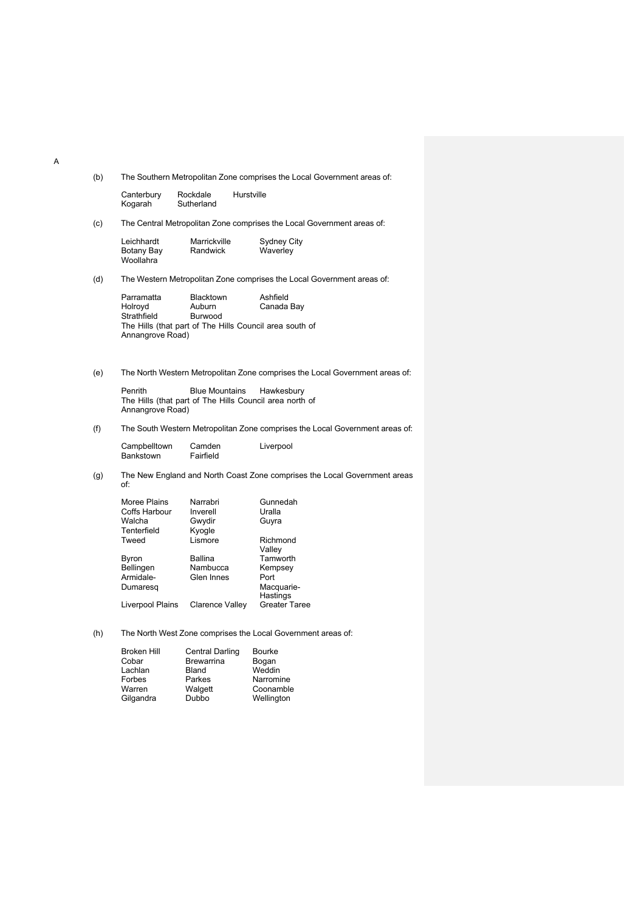(b) The Southern Metropolitan Zone comprises the Local Government areas of:

| Canterbury | Rockdale   | Hurstville |
|------------|------------|------------|
| Kogarah    | Sutherland |            |

(c) The Central Metropolitan Zone comprises the Local Government areas of:

Leichhardt Marrickville Sydney City<br>Botany Bay Randwick Waverley Botany Bay Woollahra

(d) The Western Metropolitan Zone comprises the Local Government areas of:

| Parramatta       | <b>Blacktown</b> | Ashfield                                                |
|------------------|------------------|---------------------------------------------------------|
| Holrovd          | Auburn           | Canada Bay                                              |
| Strathfield      | Burwood          |                                                         |
|                  |                  | The Hills (that part of The Hills Council area south of |
| Annangrove Road) |                  |                                                         |

(e) The North Western Metropolitan Zone comprises the Local Government areas of:

Penrith Blue Mountains Hawkesbury The Hills (that part of The Hills Council area north of Annangrove Road)

(f) The South Western Metropolitan Zone comprises the Local Government areas of:

Campbelltown Camden Liverpool<br>Bankstown Fairfield **Bankstown** 

(g) The New England and North Coast Zone comprises the Local Government areas of:

| Narrabri        | Gunnedah             |
|-----------------|----------------------|
| Inverell        | Uralla               |
| Gwydir          | Guyra                |
| Kyogle          |                      |
| Lismore         | Richmond             |
|                 | Valley               |
| Ballina         | Tamworth             |
| Nambucca        | Kempsey              |
| Glen Innes      | Port                 |
|                 | Macquarie-           |
|                 | Hastings             |
| Clarence Valley | <b>Greater Taree</b> |
|                 |                      |

(h) The North West Zone comprises the Local Government areas of:

| <b>Broken Hill</b> | <b>Central Darling</b> | <b>Bourke</b> |
|--------------------|------------------------|---------------|
| Cobar              | <b>Brewarrina</b>      | Bogan         |
| Lachlan            | <b>Bland</b>           | Weddin        |
| Forbes             | Parkes                 | Narromine     |
| Warren             | Walgett                | Coonamble     |
| Gilgandra          | Dubbo                  | Wellington    |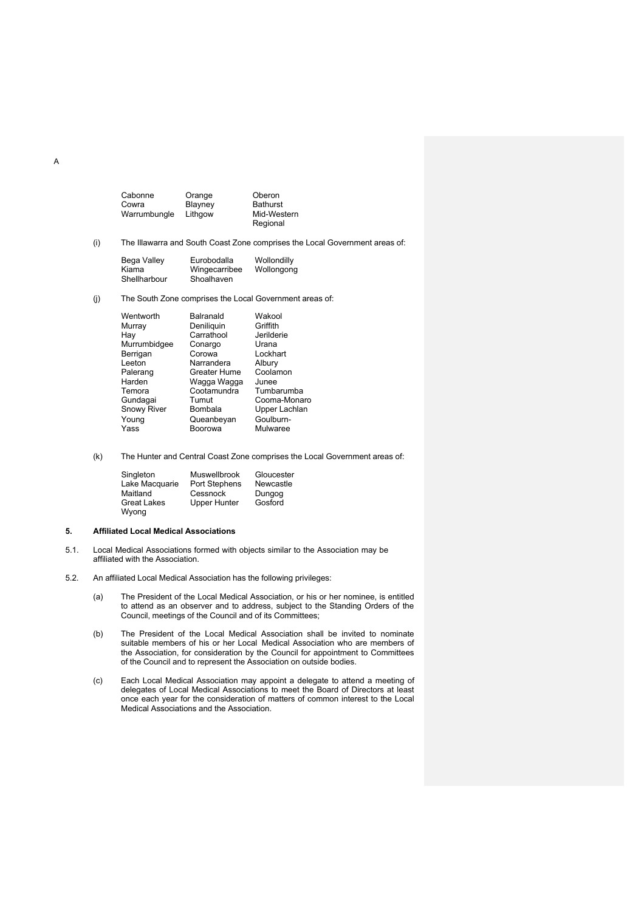| Orange  | Oberon                  |
|---------|-------------------------|
| Blayney | <b>Bathurst</b>         |
| Lithgow | Mid-Western<br>Regional |
|         |                         |

(i) The Illawarra and South Coast Zone comprises the Local Government areas of:

| Bega Valley  | Eurobodalla   | Wollondilly |
|--------------|---------------|-------------|
| Kiama        | Wingecarribee | Wollongong  |
| Shellharbour | Shoalhaven    |             |

(j) The South Zone comprises the Local Government areas of:

| Wentworth          | Balranald    | Wakool        |
|--------------------|--------------|---------------|
| Murray             | Deniliquin   | Griffith      |
| Hav                | Carrathool   | Jerilderie    |
| Murrumbidgee       | Conargo      | Urana         |
| Berrigan           | Corowa       | Lockhart      |
| Leeton             | Narrandera   | Albury        |
| Palerang           | Greater Hume | Coolamon      |
| Harden             | Waqqa Waqqa  | Junee         |
| Temora             | Cootamundra  | Tumbarumba    |
| Gundaqai           | Tumut        | Cooma-Monaro  |
| <b>Snowy River</b> | Bombala      | Upper Lachlan |
| Young              | Queanbeyan   | Goulburn-     |
| Yass               | Boorowa      | Mulwaree      |
|                    |              |               |

(k) The Hunter and Central Coast Zone comprises the Local Government areas of:

| Singleton          | <b>Muswellbrook</b> | Gloucester |
|--------------------|---------------------|------------|
| Lake Macquarie     | Port Stephens       | Newcastle  |
| Maitland           | Cessnock            | Dungog     |
| <b>Great Lakes</b> | <b>Upper Hunter</b> | Gosford    |
| Wyong              |                     |            |

## **5. Affiliated Local Medical Associations**

- 5.1. Local Medical Associations formed with objects similar to the Association may be affiliated with the Association.
- 5.2. An affiliated Local Medical Association has the following privileges:
	- (a) The President of the Local Medical Association, or his or her nominee, is entitled to attend as an observer and to address, subject to the Standing Orders of the Council, meetings of the Council and of its Committees;
	- (b) The President of the Local Medical Association shall be invited to nominate suitable members of his or her Local Medical Association who are members of the Association, for consideration by the Council for appointment to Committees of the Council and to represent the Association on outside bodies.
	- (c) Each Local Medical Association may appoint a delegate to attend a meeting of delegates of Local Medical Associations to meet the Board of Directors at least once each year for the consideration of matters of common interest to the Local Medical Associations and the Association.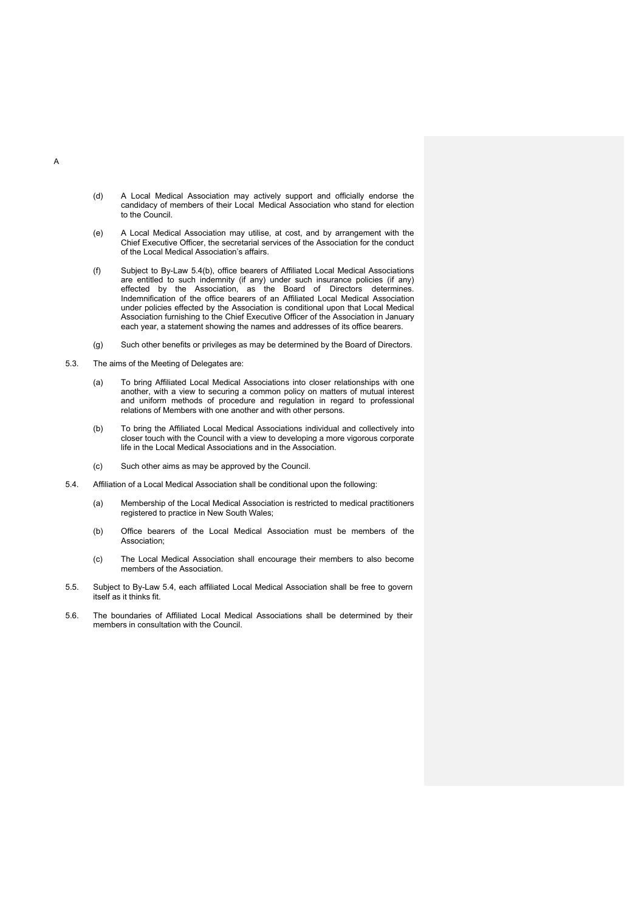- (d) A Local Medical Association may actively support and officially endorse the candidacy of members of their Local Medical Association who stand for election to the Council.
- (e) A Local Medical Association may utilise, at cost, and by arrangement with the Chief Executive Officer, the secretarial services of the Association for the conduct of the Local Medical Association's affairs.
- (f) Subject to By-Law 5.4(b), office bearers of Affiliated Local Medical Associations are entitled to such indemnity (if any) under such insurance policies (if any) effected by the Association, as the Board of Directors determines. Indemnification of the office bearers of an Affiliated Local Medical Association under policies effected by the Association is conditional upon that Local Medical Association furnishing to the Chief Executive Officer of the Association in January each year, a statement showing the names and addresses of its office bearers.
- (g) Such other benefits or privileges as may be determined by the Board of Directors.
- 5.3. The aims of the Meeting of Delegates are:
	- (a) To bring Affiliated Local Medical Associations into closer relationships with one another, with a view to securing a common policy on matters of mutual interest and uniform methods of procedure and regulation in regard to professional relations of Members with one another and with other persons.
	- (b) To bring the Affiliated Local Medical Associations individual and collectively into closer touch with the Council with a view to developing a more vigorous corporate life in the Local Medical Associations and in the Association.
	- (c) Such other aims as may be approved by the Council.
- 5.4. Affiliation of a Local Medical Association shall be conditional upon the following:
	- (a) Membership of the Local Medical Association is restricted to medical practitioners registered to practice in New South Wales;
	- (b) Office bearers of the Local Medical Association must be members of the Association;
	- (c) The Local Medical Association shall encourage their members to also become members of the Association.
- 5.5. Subject to By-Law 5.4, each affiliated Local Medical Association shall be free to govern itself as it thinks fit.
- 5.6. The boundaries of Affiliated Local Medical Associations shall be determined by their members in consultation with the Council.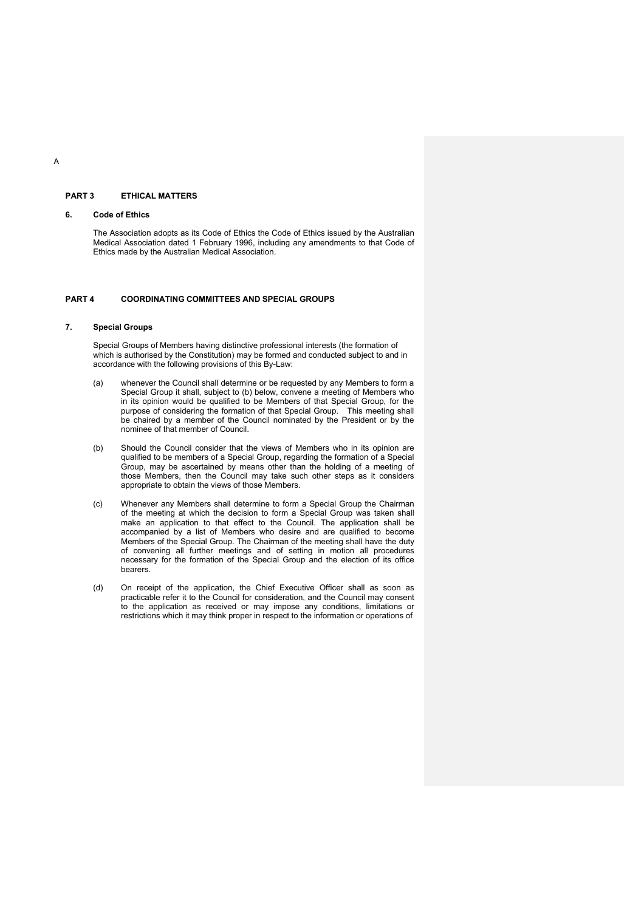# **PART 3 ETHICAL MATTERS**

# **6. Code of Ethics**

The Association adopts as its Code of Ethics the Code of Ethics issued by the Australian Medical Association dated 1 February 1996, including any amendments to that Code of Ethics made by the Australian Medical Association.

## **PART 4 COORDINATING COMMITTEES AND SPECIAL GROUPS**

## **7. Special Groups**

Special Groups of Members having distinctive professional interests (the formation of which is authorised by the Constitution) may be formed and conducted subject to and in accordance with the following provisions of this By-Law:

- (a) whenever the Council shall determine or be requested by any Members to form a Special Group it shall, subject to (b) below, convene a meeting of Members who in its opinion would be qualified to be Members of that Special Group, for the purpose of considering the formation of that Special Group. This meeting shall be chaired by a member of the Council nominated by the President or by the nominee of that member of Council.
- (b) Should the Council consider that the views of Members who in its opinion are qualified to be members of a Special Group, regarding the formation of a Special Group, may be ascertained by means other than the holding of a meeting of those Members, then the Council may take such other steps as it considers appropriate to obtain the views of those Members.
- (c) Whenever any Members shall determine to form a Special Group the Chairman of the meeting at which the decision to form a Special Group was taken shall make an application to that effect to the Council. The application shall be accompanied by a list of Members who desire and are qualified to become Members of the Special Group. The Chairman of the meeting shall have the duty of convening all further meetings and of setting in motion all procedures necessary for the formation of the Special Group and the election of its office bearers.
- (d) On receipt of the application, the Chief Executive Officer shall as soon as practicable refer it to the Council for consideration, and the Council may consent to the application as received or may impose any conditions, limitations or restrictions which it may think proper in respect to the information or operations of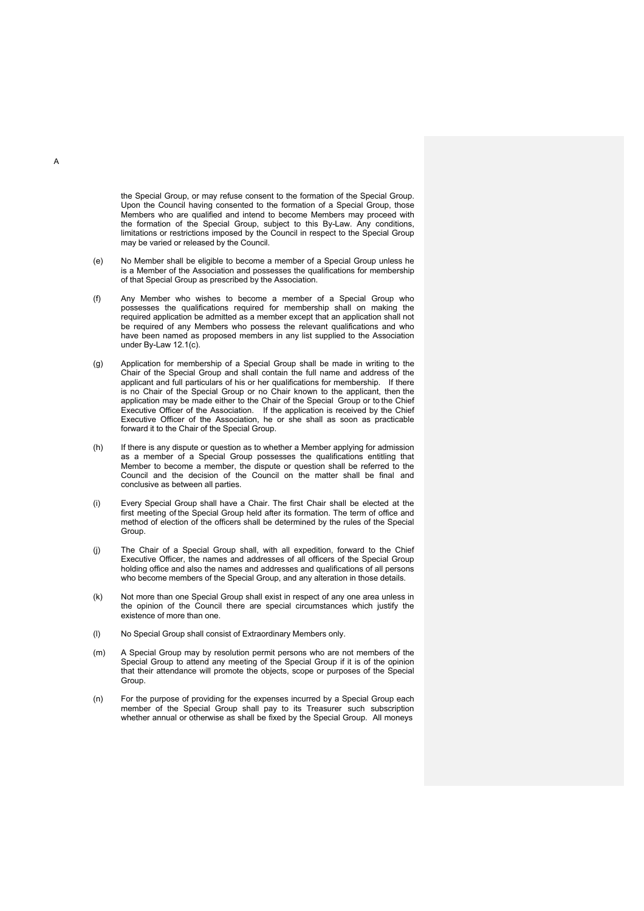the Special Group, or may refuse consent to the formation of the Special Group. Upon the Council having consented to the formation of a Special Group, those Members who are qualified and intend to become Members may proceed with the formation of the Special Group, subject to this By-Law. Any conditions, limitations or restrictions imposed by the Council in respect to the Special Group may be varied or released by the Council.

- (e) No Member shall be eligible to become a member of a Special Group unless he is a Member of the Association and possesses the qualifications for membership of that Special Group as prescribed by the Association.
- (f) Any Member who wishes to become a member of a Special Group who possesses the qualifications required for membership shall on making the required application be admitted as a member except that an application shall not be required of any Members who possess the relevant qualifications and who have been named as proposed members in any list supplied to the Association under By-Law 12.1(c).
- (g) Application for membership of a Special Group shall be made in writing to the Chair of the Special Group and shall contain the full name and address of the applicant and full particulars of his or her qualifications for membership. If there is no Chair of the Special Group or no Chair known to the applicant, then the application may be made either to the Chair of the Special Group or to the Chief Executive Officer of the Association. If the application is received by the Chief Executive Officer of the Association, he or she shall as soon as practicable forward it to the Chair of the Special Group.
- (h) If there is any dispute or question as to whether a Member applying for admission as a member of a Special Group possesses the qualifications entitling that Member to become a member, the dispute or question shall be referred to the Council and the decision of the Council on the matter shall be final and conclusive as between all parties.
- (i) Every Special Group shall have a Chair. The first Chair shall be elected at the first meeting of the Special Group held after its formation. The term of office and method of election of the officers shall be determined by the rules of the Special **Group.**
- (j) The Chair of a Special Group shall, with all expedition, forward to the Chief Executive Officer, the names and addresses of all officers of the Special Group holding office and also the names and addresses and qualifications of all persons who become members of the Special Group, and any alteration in those details.
- (k) Not more than one Special Group shall exist in respect of any one area unless in the opinion of the Council there are special circumstances which justify the existence of more than one.
- (l) No Special Group shall consist of Extraordinary Members only.
- (m) A Special Group may by resolution permit persons who are not members of the Special Group to attend any meeting of the Special Group if it is of the opinion that their attendance will promote the objects, scope or purposes of the Special Group.
- (n) For the purpose of providing for the expenses incurred by a Special Group each member of the Special Group shall pay to its Treasurer such subscription whether annual or otherwise as shall be fixed by the Special Group. All moneys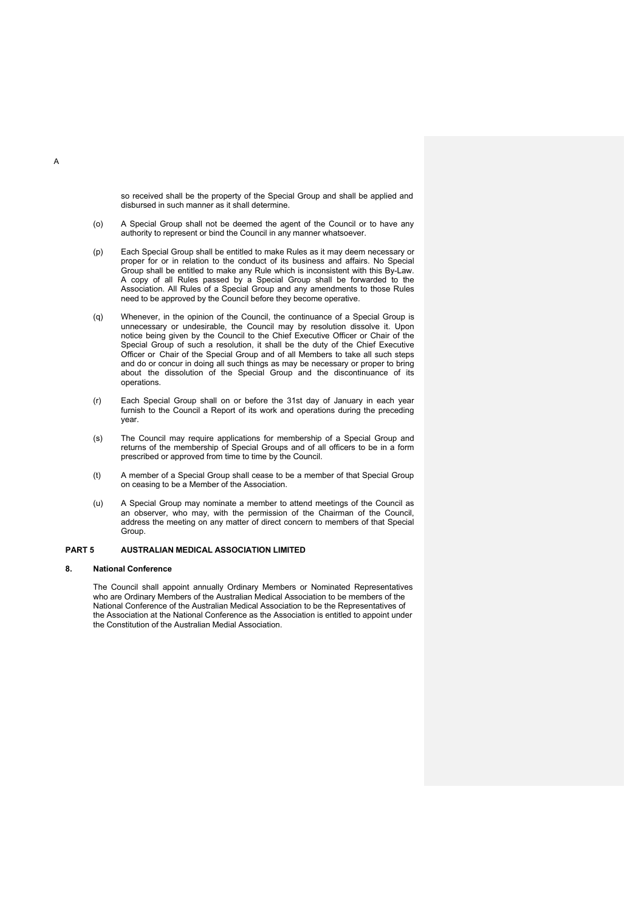so received shall be the property of the Special Group and shall be applied and disbursed in such manner as it shall determine.

- (o) A Special Group shall not be deemed the agent of the Council or to have any authority to represent or bind the Council in any manner whatsoever.
- (p) Each Special Group shall be entitled to make Rules as it may deem necessary or proper for or in relation to the conduct of its business and affairs. No Special Group shall be entitled to make any Rule which is inconsistent with this By-Law. A copy of all Rules passed by a Special Group shall be forwarded to the Association. All Rules of a Special Group and any amendments to those Rules need to be approved by the Council before they become operative.
- (q) Whenever, in the opinion of the Council, the continuance of a Special Group is unnecessary or undesirable, the Council may by resolution dissolve it. Upon notice being given by the Council to the Chief Executive Officer or Chair of the Special Group of such a resolution, it shall be the duty of the Chief Executive Officer or Chair of the Special Group and of all Members to take all such steps and do or concur in doing all such things as may be necessary or proper to bring about the dissolution of the Special Group and the discontinuance of its operations.
- (r) Each Special Group shall on or before the 31st day of January in each year furnish to the Council a Report of its work and operations during the preceding year.
- (s) The Council may require applications for membership of a Special Group and returns of the membership of Special Groups and of all officers to be in a form prescribed or approved from time to time by the Council.
- (t) A member of a Special Group shall cease to be a member of that Special Group on ceasing to be a Member of the Association.
- (u) A Special Group may nominate a member to attend meetings of the Council as an observer, who may, with the permission of the Chairman of the Council, address the meeting on any matter of direct concern to members of that Special **Group.**

# **PART 5 AUSTRALIAN MEDICAL ASSOCIATION LIMITED**

#### **8. National Conference**

The Council shall appoint annually Ordinary Members or Nominated Representatives who are Ordinary Members of the Australian Medical Association to be members of the National Conference of the Australian Medical Association to be the Representatives of the Association at the National Conference as the Association is entitled to appoint under the Constitution of the Australian Medial Association.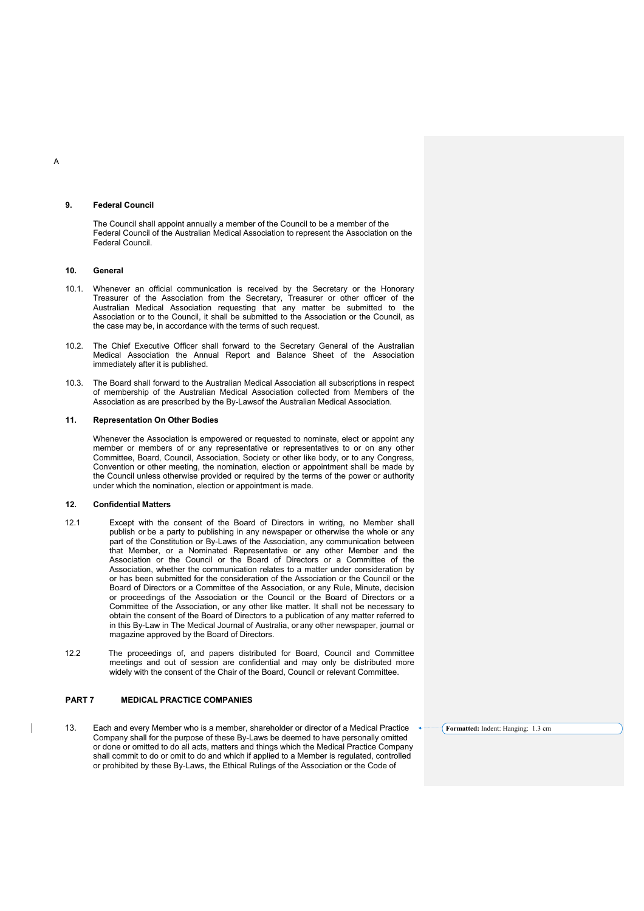#### **9. Federal Council**

The Council shall appoint annually a member of the Council to be a member of the Federal Council of the Australian Medical Association to represent the Association on the Federal Council.

#### **10. General**

- 10.1. Whenever an official communication is received by the Secretary or the Honorary Treasurer of the Association from the Secretary, Treasurer or other officer of the Australian Medical Association requesting that any matter be submitted to the Association or to the Council, it shall be submitted to the Association or the Council, as the case may be, in accordance with the terms of such request.
- 10.2. The Chief Executive Officer shall forward to the Secretary General of the Australian Medical Association the Annual Report and Balance Sheet of the Association immediately after it is published.
- 10.3. The Board shall forward to the Australian Medical Association all subscriptions in respect of membership of the Australian Medical Association collected from Members of the Association as are prescribed by the By-Lawsof the Australian Medical Association.

## **11. Representation On Other Bodies**

Whenever the Association is empowered or requested to nominate, elect or appoint any member or members of or any representative or representatives to or on any other Committee, Board, Council, Association, Society or other like body, or to any Congress, Convention or other meeting, the nomination, election or appointment shall be made by the Council unless otherwise provided or required by the terms of the power or authority under which the nomination, election or appointment is made.

#### **12. Confidential Matters**

 $\overline{\phantom{a}}$ 

- 12.1 Except with the consent of the Board of Directors in writing, no Member shall publish or be a party to publishing in any newspaper or otherwise the whole or any part of the Constitution or By-Laws of the Association, any communication between that Member, or a Nominated Representative or any other Member and the Association or the Council or the Board of Directors or a Committee of the Association, whether the communication relates to a matter under consideration by or has been submitted for the consideration of the Association or the Council or the Board of Directors or a Committee of the Association, or any Rule, Minute, decision or proceedings of the Association or the Council or the Board of Directors or a Committee of the Association, or any other like matter. It shall not be necessary to obtain the consent of the Board of Directors to a publication of any matter referred to in this By-Law in The Medical Journal of Australia, or any other newspaper, journal or magazine approved by the Board of Directors.
- 12.2 The proceedings of, and papers distributed for Board, Council and Committee meetings and out of session are confidential and may only be distributed more widely with the consent of the Chair of the Board, Council or relevant Committee.

# **PART 7 MEDICAL PRACTICE COMPANIES**

13. Each and every Member who is a member, shareholder or director of a Medical Practice Company shall for the purpose of these By-Laws be deemed to have personally omitted or done or omitted to do all acts, matters and things which the Medical Practice Company shall commit to do or omit to do and which if applied to a Member is regulated, controlled or prohibited by these By-Laws, the Ethical Rulings of the Association or the Code of

**Formatted:** Indent: Hanging: 1.3 cm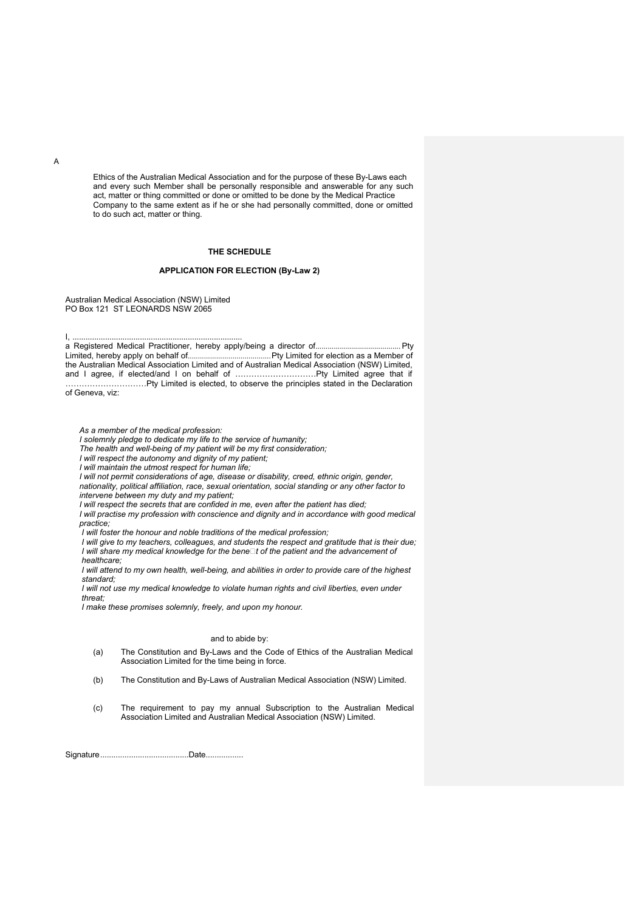Ethics of the Australian Medical Association and for the purpose of these By-Laws each and every such Member shall be personally responsible and answerable for any such act, matter or thing committed or done or omitted to be done by the Medical Practice Company to the same extent as if he or she had personally committed, done or omitted to do such act, matter or thing.

# **THE SCHEDULE**

# **APPLICATION FOR ELECTION (By-Law 2)**

Australian Medical Association (NSW) Limited PO Box 121 ST LEONARDS NSW 2065

a Registered Medical Practitioner, hereby apply/being a director of.......................................... Pty Limited, hereby apply on behalf of.........................................Pty Limited for election as a Member of the Australian Medical Association Limited and of Australian Medical Association (NSW) Limited, and I agree, if elected/and I on behalf of …………………………Pty Limited agree that if …………………………Pty Limited is elected, to observe the principles stated in the Declaration

of Geneva, viz:

I, ..............................................................................

*As a member of the medical profession:*

*I solemnly pledge to dedicate my life to the service of humanity;*

*The health and well-being of my patient will be my first consideration;*

*I will respect the autonomy and dignity of my patient;*

*I will maintain the utmost respect for human life;*

*I will not permit considerations of age, disease or disability, creed, ethnic origin, gender,* 

*nationality, political affiliation, race, sexual orientation, social standing or any other factor to intervene between my duty and my patient;*

*I will respect the secrets that are confided in me, even after the patient has died;*

*I will practise my profession with conscience and dignity and in accordance with good medical practice;*

*I will foster the honour and noble traditions of the medical profession;*

*I will give to my teachers, colleagues, and students the respect and gratitude that is their due; I will share my medical knowledge for the benet of the patient and the advancement of healthcare;*

*I* will attend to my own health, well-being, and abilities in order to provide care of the highest *standard;*

*I will not use my medical knowledge to violate human rights and civil liberties, even under threat;*

*I make these promises solemnly, freely, and upon my honour.*

#### and to abide by:

- (a) The Constitution and By-Laws and the Code of Ethics of the Australian Medical Association Limited for the time being in force.
- (b) The Constitution and By-Laws of Australian Medical Association (NSW) Limited.
- (c) The requirement to pay my annual Subscription to the Australian Medical Association Limited and Australian Medical Association (NSW) Limited.

Signature........................................Date.................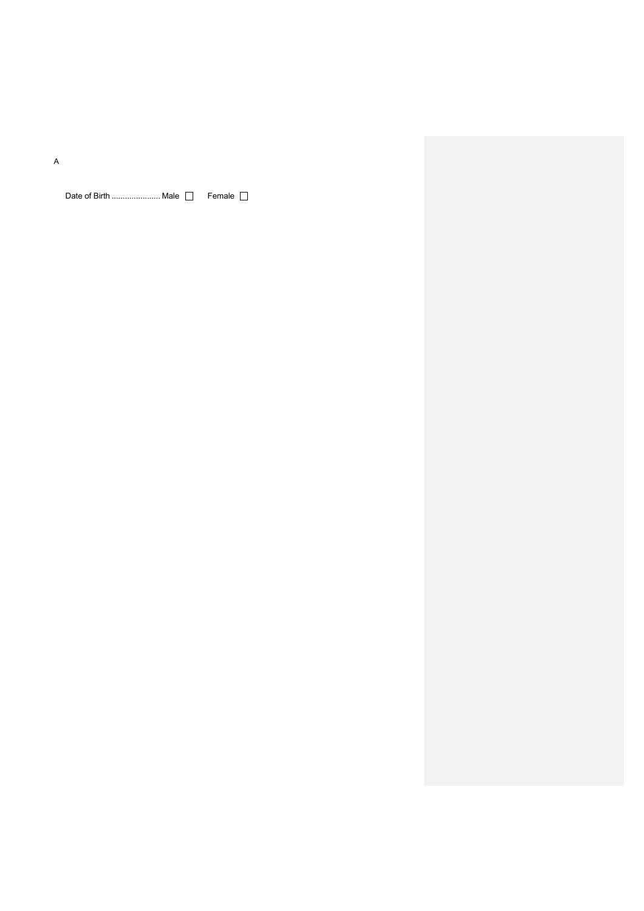A

Date of Birth ...................... Male Female